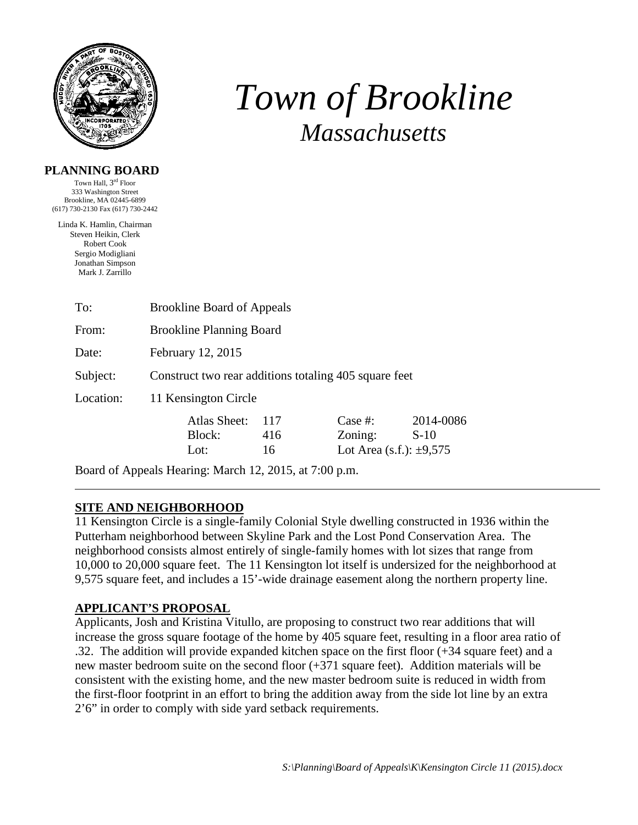

# *Town of Brookline Massachusetts*

#### **PLANNING BOARD**

Town Hall, 3rd Floor 333 Washington Street Brookline, MA 02445-6899 (617) 730-2130 Fax (617) 730-2442

Linda K. Hamlin, Chairman Steven Heikin, Clerk Robert Cook Sergio Modigliani Jonathan Simpson Mark J. Zarrillo

| To:       | <b>Brookline Board of Appeals</b>                     |     |                              |           |  |  |
|-----------|-------------------------------------------------------|-----|------------------------------|-----------|--|--|
| From:     | <b>Brookline Planning Board</b>                       |     |                              |           |  |  |
| Date:     | February 12, 2015                                     |     |                              |           |  |  |
| Subject:  | Construct two rear additions totaling 405 square feet |     |                              |           |  |  |
| Location: | 11 Kensington Circle                                  |     |                              |           |  |  |
|           | Atlas Sheet:                                          | 117 | Case $#$ :                   | 2014-0086 |  |  |
|           | Block:                                                | 416 | Zoning:                      | $S-10$    |  |  |
|           | Lot:                                                  | 16  | Lot Area (s.f.): $\pm 9,575$ |           |  |  |

Board of Appeals Hearing: March 12, 2015, at 7:00 p.m.

## **SITE AND NEIGHBORHOOD**

11 Kensington Circle is a single-family Colonial Style dwelling constructed in 1936 within the Putterham neighborhood between Skyline Park and the Lost Pond Conservation Area. The neighborhood consists almost entirely of single-family homes with lot sizes that range from 10,000 to 20,000 square feet. The 11 Kensington lot itself is undersized for the neighborhood at 9,575 square feet, and includes a 15'-wide drainage easement along the northern property line.

## **APPLICANT'S PROPOSAL**

Applicants, Josh and Kristina Vitullo, are proposing to construct two rear additions that will increase the gross square footage of the home by 405 square feet, resulting in a floor area ratio of .32. The addition will provide expanded kitchen space on the first floor (+34 square feet) and a new master bedroom suite on the second floor (+371 square feet). Addition materials will be consistent with the existing home, and the new master bedroom suite is reduced in width from the first-floor footprint in an effort to bring the addition away from the side lot line by an extra 2'6" in order to comply with side yard setback requirements.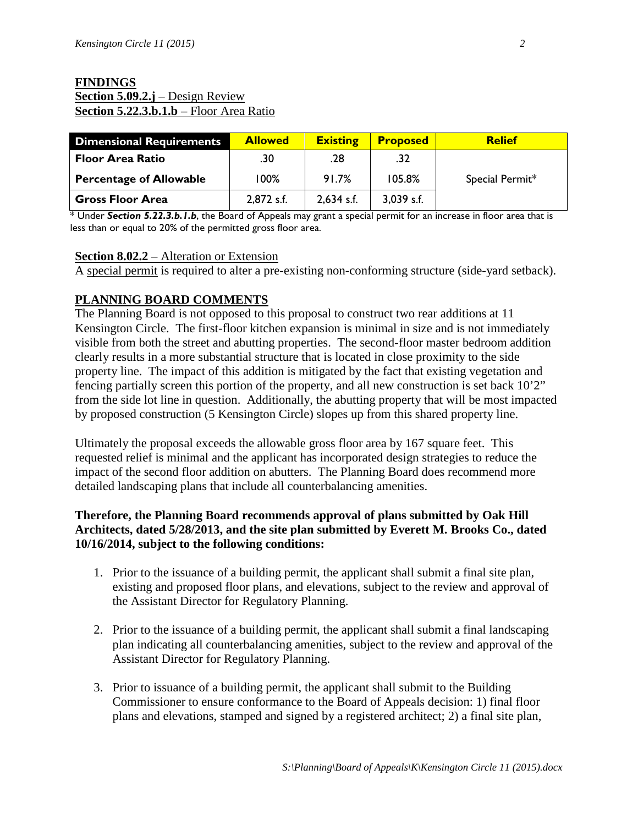### **FINDINGS Section 5.09.2.j** – Design Review **Section 5.22.3.b.1.b** – Floor Area Ratio

| <b>Dimensional Requirements</b> | <b>Allowed</b> | <b>Existing</b> | <b>Proposed</b> | <b>Relief</b>   |
|---------------------------------|----------------|-----------------|-----------------|-----------------|
| <b>Floor Area Ratio</b>         | .30            | .28             | .32             |                 |
| <b>Percentage of Allowable</b>  | 100%           | 91.7%           | 105.8%          | Special Permit* |
| <b>Gross Floor Area</b>         | 2,872 s.f.     | $2,634$ s.f.    | $3,039$ s.f.    |                 |

\* Under *Section 5.22.3.b.1.b*, the Board of Appeals may grant a special permit for an increase in floor area that is less than or equal to 20% of the permitted gross floor area.

### **Section 8.02.2** – Alteration or Extension

A special permit is required to alter a pre-existing non-conforming structure (side-yard setback).

### **PLANNING BOARD COMMENTS**

The Planning Board is not opposed to this proposal to construct two rear additions at 11 Kensington Circle. The first-floor kitchen expansion is minimal in size and is not immediately visible from both the street and abutting properties. The second-floor master bedroom addition clearly results in a more substantial structure that is located in close proximity to the side property line. The impact of this addition is mitigated by the fact that existing vegetation and fencing partially screen this portion of the property, and all new construction is set back 10'2" from the side lot line in question. Additionally, the abutting property that will be most impacted by proposed construction (5 Kensington Circle) slopes up from this shared property line.

Ultimately the proposal exceeds the allowable gross floor area by 167 square feet. This requested relief is minimal and the applicant has incorporated design strategies to reduce the impact of the second floor addition on abutters. The Planning Board does recommend more detailed landscaping plans that include all counterbalancing amenities.

### **Therefore, the Planning Board recommends approval of plans submitted by Oak Hill Architects, dated 5/28/2013, and the site plan submitted by Everett M. Brooks Co., dated 10/16/2014, subject to the following conditions:**

- 1. Prior to the issuance of a building permit, the applicant shall submit a final site plan, existing and proposed floor plans, and elevations, subject to the review and approval of the Assistant Director for Regulatory Planning.
- 2. Prior to the issuance of a building permit, the applicant shall submit a final landscaping plan indicating all counterbalancing amenities, subject to the review and approval of the Assistant Director for Regulatory Planning.
- 3. Prior to issuance of a building permit, the applicant shall submit to the Building Commissioner to ensure conformance to the Board of Appeals decision: 1) final floor plans and elevations, stamped and signed by a registered architect; 2) a final site plan,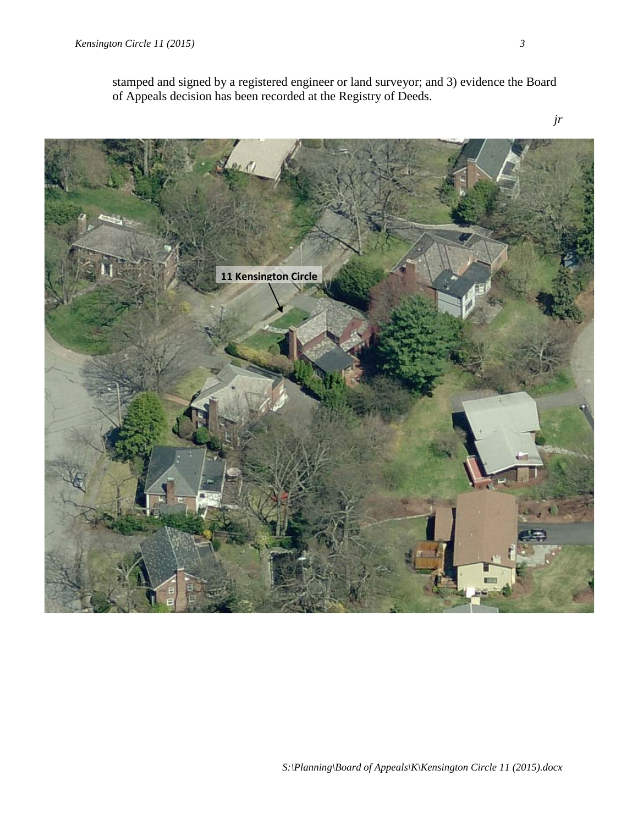*jr* **11 Kensington Circle**

stamped and signed by a registered engineer or land surveyor; and 3) evidence the Board of Appeals decision has been recorded at the Registry of Deeds.

*S:\Planning\Board of Appeals\K\Kensington Circle 11 (2015).docx*